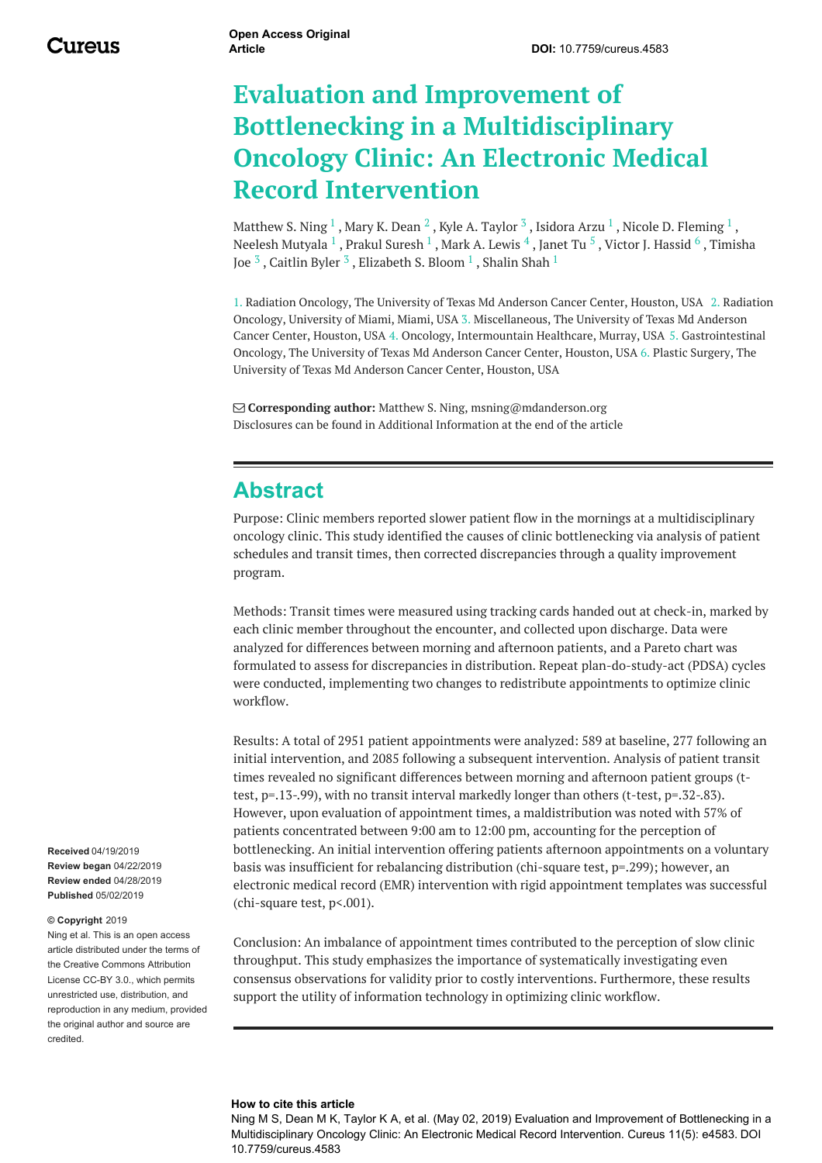# **Evaluation and Improvement of Bottlenecking in a Multidisciplinary Oncology Clinic: An Electronic Medical Record Intervention**

[Matthew](https://www.cureus.com/users/117005-matthew-s-ning) S. Ning  $^1$  , Mary K. [Dean](https://www.cureus.com/users/121510-mary-k-dean)  $^2$  , Kyle A. [Taylor](https://www.cureus.com/users/121511-kyle-a-taylor)  $^3$  , [Isidora](https://www.cureus.com/users/76049-isidora-arzu) Arzu  $^1$  , Nicole D. [Fleming](https://www.cureus.com/users/121512-nicole-d-fleming)  $^1$  , Neelesh [Mutyala](https://www.cureus.com/users/121513-neelesh-mutyala)  $^1$  , Prakul [Suresh](https://www.cureus.com/users/121514-prakul-suresh)  $^1$  , Mark A. [Lewis](https://www.cureus.com/users/121515-mark-a-lewis)  $^4$  , [Janet](https://www.cureus.com/users/121516-janet-tu) Tu  $^5$  , Victor J. [Hassid](https://www.cureus.com/users/121517-victor-j-hassid)  $^6$  , Timisha Joe  $^3$  , [Caitlin](https://www.cureus.com/users/121519-caitlin-byler) Byler  $^3$  , [Elizabeth](https://www.cureus.com/users/121518-timisha-joe) S. Bloom  $^1$  , [Shalin](https://www.cureus.com/users/50693-shalin-shah) Shah  $^1$ 

1. Radiation Oncology, The University of Texas Md Anderson Cancer Center, Houston, USA 2. Radiation Oncology, University of Miami, Miami, USA 3. Miscellaneous, The University of Texas Md Anderson Cancer Center, Houston, USA 4. Oncology, Intermountain Healthcare, Murray, USA 5. Gastrointestinal Oncology, The University of Texas Md Anderson Cancer Center, Houston, USA 6. Plastic Surgery, The University of Texas Md Anderson Cancer Center, Houston, USA

 **Corresponding author:** Matthew S. Ning, msning@mdanderson.org Disclosures can be found in Additional Information at the end of the article

### **Abstract**

Purpose: Clinic members reported slower patient flow in the mornings at a multidisciplinary oncology clinic. This study identified the causes of clinic bottlenecking via analysis of patient schedules and transit times, then corrected discrepancies through a quality improvement program.

Methods: Transit times were measured using tracking cards handed out at check-in, marked by each clinic member throughout the encounter, and collected upon discharge. Data were analyzed for differences between morning and afternoon patients, and a Pareto chart was formulated to assess for discrepancies in distribution. Repeat plan-do-study-act (PDSA) cycles were conducted, implementing two changes to redistribute appointments to optimize clinic workflow.

Results: A total of 2951 patient appointments were analyzed: 589 at baseline, 277 following an initial intervention, and 2085 following a subsequent intervention. Analysis of patient transit times revealed no significant differences between morning and afternoon patient groups (ttest, p=.13-.99), with no transit interval markedly longer than others (t-test, p=.32-.83). However, upon evaluation of appointment times, a maldistribution was noted with 57% of patients concentrated between 9:00 am to 12:00 pm, accounting for the perception of bottlenecking. An initial intervention offering patients afternoon appointments on a voluntary basis was insufficient for rebalancing distribution (chi-square test, p=.299); however, an electronic medical record (EMR) intervention with rigid appointment templates was successful (chi-square test, p<.001).

Conclusion: An imbalance of appointment times contributed to the perception of slow clinic throughput. This study emphasizes the importance of systematically investigating even consensus observations for validity prior to costly interventions. Furthermore, these results support the utility of information technology in optimizing clinic workflow.

#### **Received** 04/19/2019 **Review began** 04/22/2019 **Review ended** 04/28/2019 **Published** 05/02/2019

#### **© Copyright** 2019

Ning et al. This is an open access article distributed under the terms of the Creative Commons Attribution License CC-BY 3.0., which permits unrestricted use, distribution, and reproduction in any medium, provided the original author and source are credited.

#### **How to cite this article**

Ning M S, Dean M K, Taylor K A, et al. (May 02, 2019) Evaluation and Improvement of Bottlenecking in a Multidisciplinary Oncology Clinic: An Electronic Medical Record Intervention. Cureus 11(5): e4583. DOI 10.7759/cureus.4583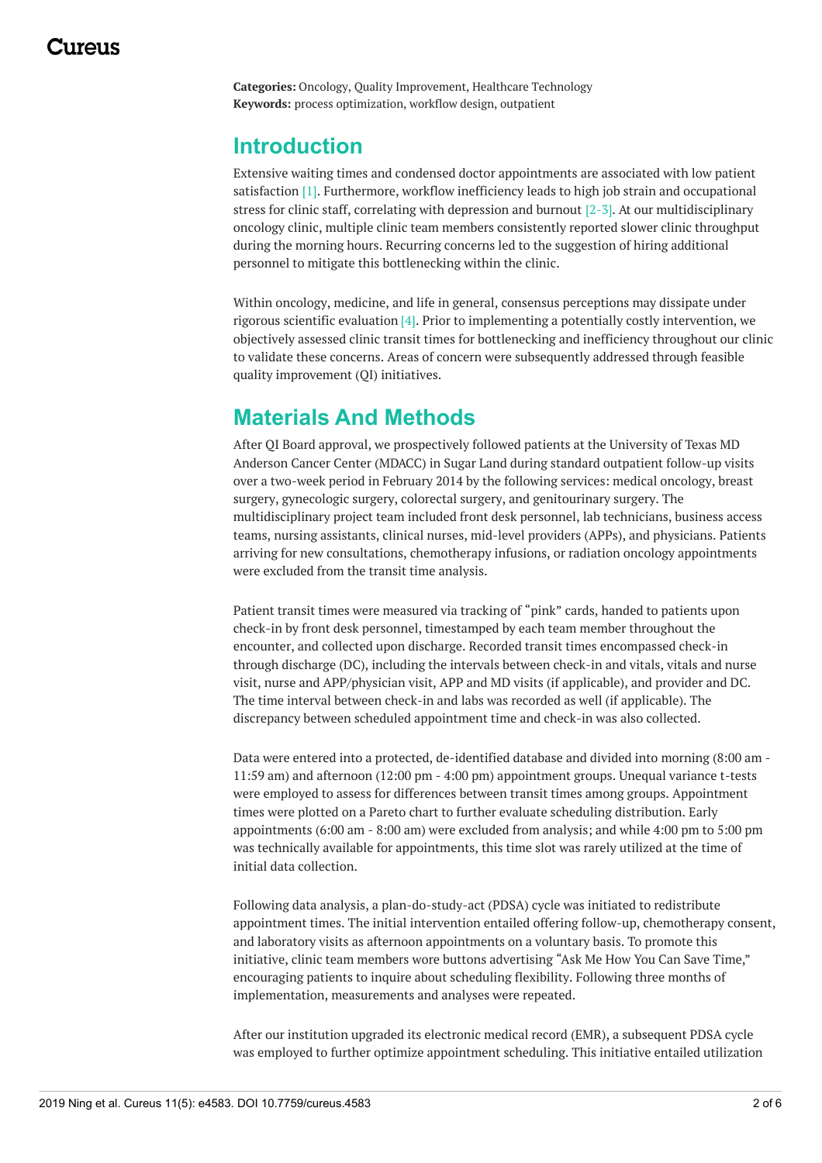**Categories:** Oncology, Quality Improvement, Healthcare Technology **Keywords:** process optimization, workflow design, outpatient

### **Introduction**

Extensive waiting times and condensed doctor appointments are associated with low patient satisfaction [1]. Furthermore, workflow inefficiency leads to high job strain and occupational stress for clinic staff, correlating with depression and burnout  $[2-3]$ . At our multidisciplinary oncology clinic, multiple clinic team members consistently reported slower clinic throughput during the morning hours. Recurring concerns led to the suggestion of hiring additional personnel to mitigate this bottlenecking within the clinic.

Within oncology, medicine, and life in general, consensus perceptions may dissipate under rigorous scientific evaluation [4]. Prior to implementing a potentially costly intervention, we objectively assessed clinic transit times for bottlenecking and inefficiency throughout our clinic to validate these concerns. Areas of concern were subsequently addressed through feasible quality improvement (QI) initiatives.

# **Materials And Methods**

After QI Board approval, we prospectively followed patients at the University of Texas MD Anderson Cancer Center (MDACC) in Sugar Land during standard outpatient follow-up visits over a two-week period in February 2014 by the following services: medical oncology, breast surgery, gynecologic surgery, colorectal surgery, and genitourinary surgery. The multidisciplinary project team included front desk personnel, lab technicians, business access teams, nursing assistants, clinical nurses, mid-level providers (APPs), and physicians. Patients arriving for new consultations, chemotherapy infusions, or radiation oncology appointments were excluded from the transit time analysis.

Patient transit times were measured via tracking of "pink" cards, handed to patients upon check-in by front desk personnel, timestamped by each team member throughout the encounter, and collected upon discharge. Recorded transit times encompassed check-in through discharge (DC), including the intervals between check-in and vitals, vitals and nurse visit, nurse and APP/physician visit, APP and MD visits (if applicable), and provider and DC. The time interval between check-in and labs was recorded as well (if applicable). The discrepancy between scheduled appointment time and check-in was also collected.

Data were entered into a protected, de-identified database and divided into morning (8:00 am - 11:59 am) and afternoon (12:00 pm - 4:00 pm) appointment groups. Unequal variance t-tests were employed to assess for differences between transit times among groups. Appointment times were plotted on a Pareto chart to further evaluate scheduling distribution. Early appointments (6:00 am - 8:00 am) were excluded from analysis; and while 4:00 pm to 5:00 pm was technically available for appointments, this time slot was rarely utilized at the time of initial data collection.

Following data analysis, a plan-do-study-act (PDSA) cycle was initiated to redistribute appointment times. The initial intervention entailed offering follow-up, chemotherapy consent, and laboratory visits as afternoon appointments on a voluntary basis. To promote this initiative, clinic team members wore buttons advertising "Ask Me How You Can Save Time," encouraging patients to inquire about scheduling flexibility. Following three months of implementation, measurements and analyses were repeated.

After our institution upgraded its electronic medical record (EMR), a subsequent PDSA cycle was employed to further optimize appointment scheduling. This initiative entailed utilization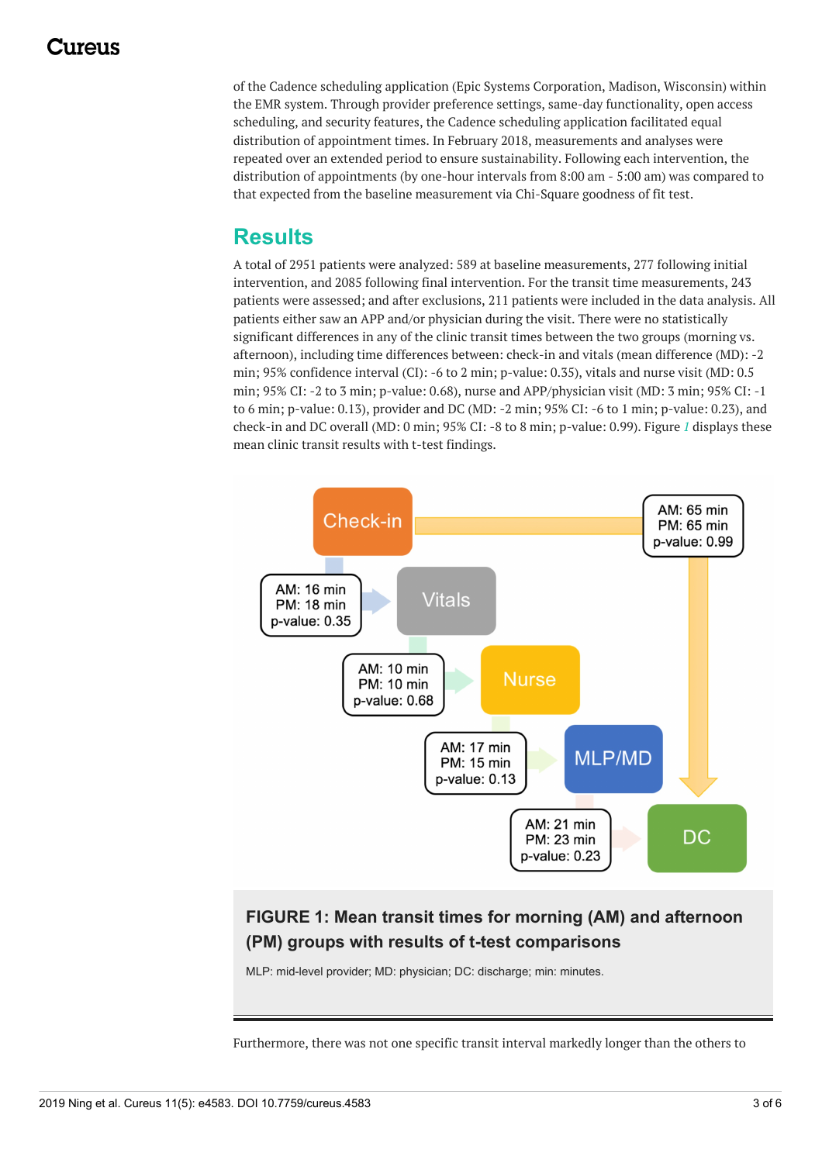of the Cadence scheduling application (Epic Systems Corporation, Madison, Wisconsin) within the EMR system. Through provider preference settings, same-day functionality, open access scheduling, and security features, the Cadence scheduling application facilitated equal distribution of appointment times. In February 2018, measurements and analyses were repeated over an extended period to ensure sustainability. Following each intervention, the distribution of appointments (by one-hour intervals from 8:00 am - 5:00 am) was compared to that expected from the baseline measurement via Chi-Square goodness of fit test.

## **Results**

A total of 2951 patients were analyzed: 589 at baseline measurements, 277 following initial intervention, and 2085 following final intervention. For the transit time measurements, 243 patients were assessed; and after exclusions, 211 patients were included in the data analysis. All patients either saw an APP and/or physician during the visit. There were no statistically significant differences in any of the clinic transit times between the two groups (morning vs. afternoon), including time differences between: check-in and vitals (mean difference (MD): -2 min; 95% confidence interval (CI): -6 to 2 min; p-value: 0.35), vitals and nurse visit (MD: 0.5 min; 95% CI: -2 to 3 min; p-value: 0.68), nurse and APP/physician visit (MD: 3 min; 95% CI: -1 to 6 min; p-value: 0.13), provider and DC (MD: -2 min; 95% CI: -6 to 1 min; p-value: 0.23), and check-in and DC overall (MD: 0 min; 95% CI: -8 to 8 min; p-value: 0.99). Figure *[1](#page-2-0)* displays these mean clinic transit results with t-test findings.

<span id="page-2-0"></span>

#### **FIGURE 1: Mean transit times for morning (AM) and afternoon (PM) groups with results of t-test comparisons**

MLP: mid-level provider; MD: physician; DC: discharge; min: minutes.

Furthermore, there was not one specific transit interval markedly longer than the others to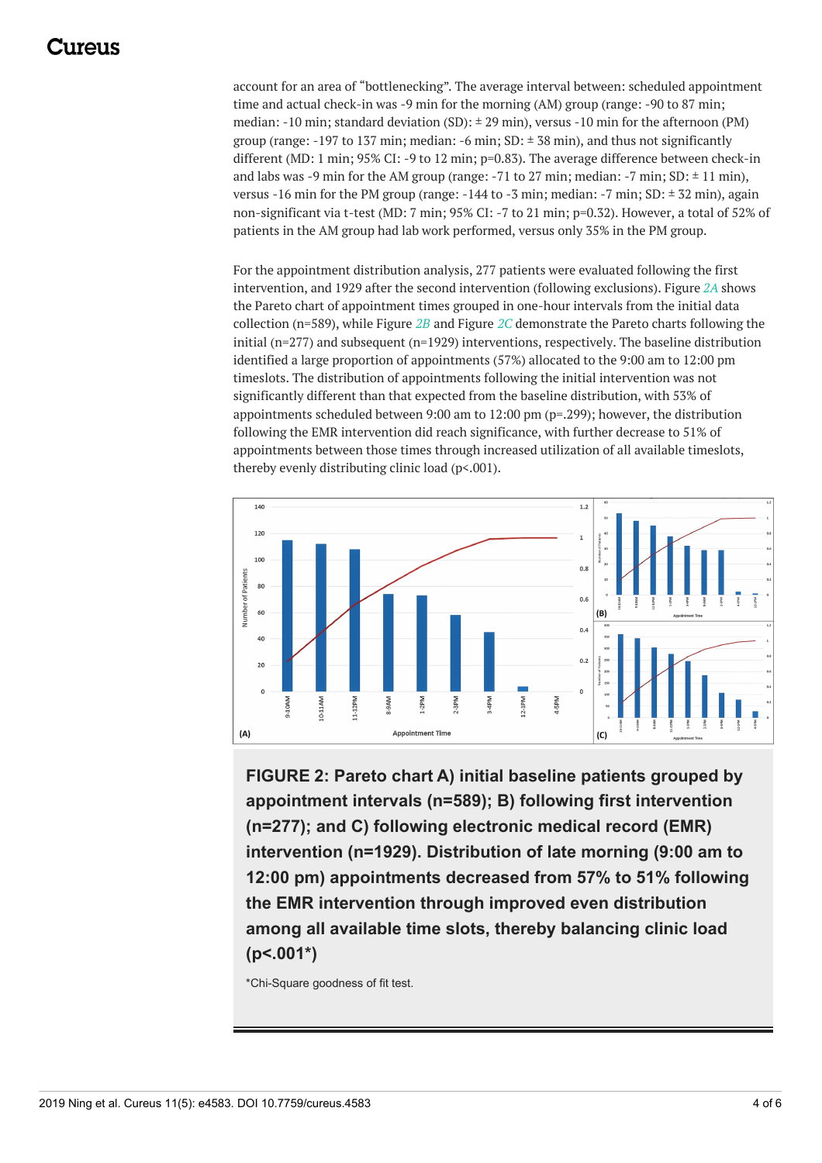### :117e11S

account for an area of "bottlenecking". The average interval between: scheduled appointment time and actual check-in was -9 min for the morning (AM) group (range: -90 to 87 min; median: -10 min; standard deviation (SD):  $\pm$  29 min), versus -10 min for the afternoon (PM) group (range: -197 to 137 min; median: -6 min; SD:  $\pm$  38 min), and thus not significantly different (MD: 1 min; 95% CI: -9 to 12 min; p=0.83). The average difference between check-in and labs was -9 min for the AM group (range: -71 to 27 min; median: -7 min;  $SD: \pm 11$  min), versus -16 min for the PM group (range:  $-144$  to -3 min; median:  $-7$  min; SD:  $\pm$  32 min), again non-significant via t-test (MD: 7 min; 95% CI: -7 to 21 min; p=0.32). However, a total of 52% of patients in the AM group had lab work performed, versus only 35% in the PM group.

For the appointment distribution analysis, 277 patients were evaluated following the first intervention, and 1929 after the second intervention (following exclusions). Figure *[2A](#page-3-0)* shows the Pareto chart of appointment times grouped in one-hour intervals from the initial data collection (n=589), while Figure *[2B](#page-3-0)* and Figure *[2C](#page-3-0)* demonstrate the Pareto charts following the initial (n=277) and subsequent (n=1929) interventions, respectively. The baseline distribution identified a large proportion of appointments (57%) allocated to the 9:00 am to 12:00 pm timeslots. The distribution of appointments following the initial intervention was not significantly different than that expected from the baseline distribution, with 53% of appointments scheduled between 9:00 am to 12:00 pm (p=.299); however, the distribution following the EMR intervention did reach significance, with further decrease to 51% of appointments between those times through increased utilization of all available timeslots, thereby evenly distributing clinic load (p<.001).

<span id="page-3-0"></span>

**FIGURE 2: Pareto chart A) initial baseline patients grouped by appointment intervals (n=589); B) following first intervention (n=277); and C) following electronic medical record (EMR) intervention (n=1929). Distribution of late morning (9:00 am to 12:00 pm) appointments decreased from 57% to 51% following the EMR intervention through improved even distribution among all available time slots, thereby balancing clinic load (p<.001\*)**

\*Chi-Square goodness of fit test.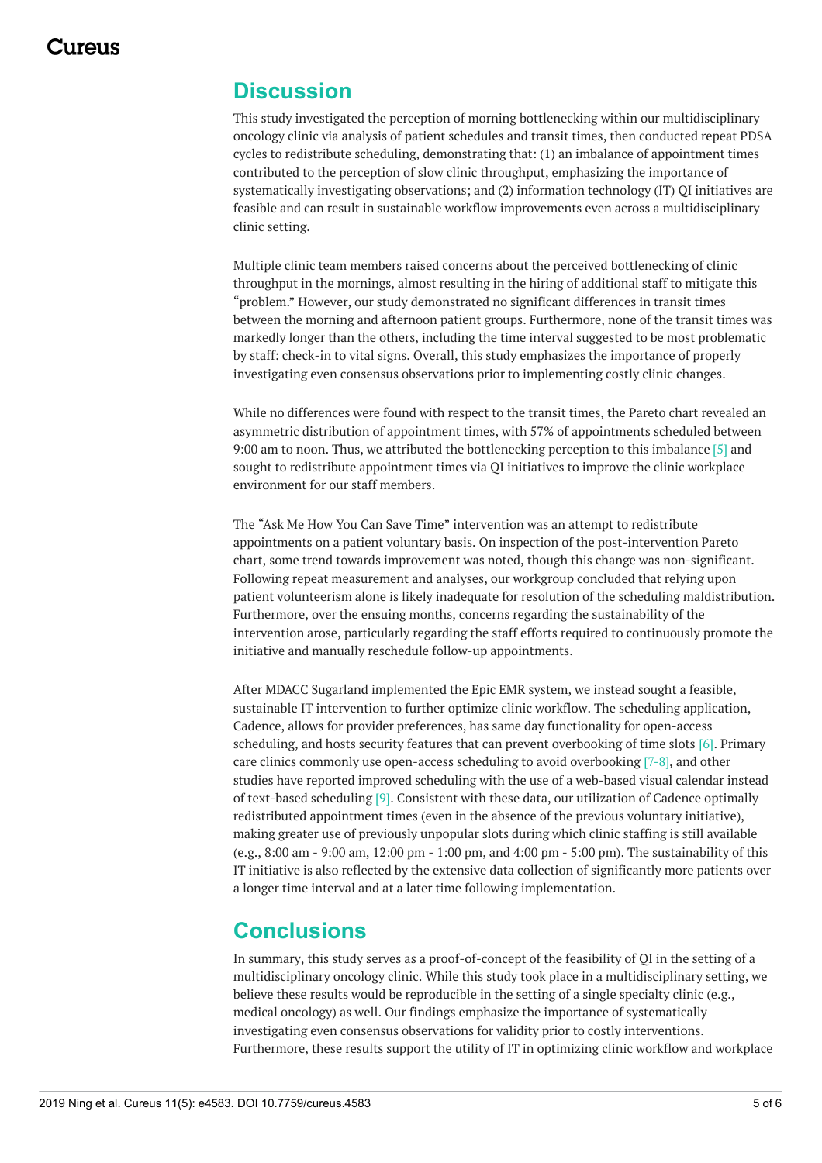#### **Discussion**

This study investigated the perception of morning bottlenecking within our multidisciplinary oncology clinic via analysis of patient schedules and transit times, then conducted repeat PDSA cycles to redistribute scheduling, demonstrating that: (1) an imbalance of appointment times contributed to the perception of slow clinic throughput, emphasizing the importance of systematically investigating observations; and (2) information technology (IT) QI initiatives are feasible and can result in sustainable workflow improvements even across a multidisciplinary clinic setting.

Multiple clinic team members raised concerns about the perceived bottlenecking of clinic throughput in the mornings, almost resulting in the hiring of additional staff to mitigate this "problem." However, our study demonstrated no significant differences in transit times between the morning and afternoon patient groups. Furthermore, none of the transit times was markedly longer than the others, including the time interval suggested to be most problematic by staff: check-in to vital signs. Overall, this study emphasizes the importance of properly investigating even consensus observations prior to implementing costly clinic changes.

While no differences were found with respect to the transit times, the Pareto chart revealed an asymmetric distribution of appointment times, with 57% of appointments scheduled between 9:00 am to noon. Thus, we attributed the bottlenecking perception to this imbalance [5] and sought to redistribute appointment times via QI initiatives to improve the clinic workplace environment for our staff members.

The "Ask Me How You Can Save Time" intervention was an attempt to redistribute appointments on a patient voluntary basis. On inspection of the post-intervention Pareto chart, some trend towards improvement was noted, though this change was non-significant. Following repeat measurement and analyses, our workgroup concluded that relying upon patient volunteerism alone is likely inadequate for resolution of the scheduling maldistribution. Furthermore, over the ensuing months, concerns regarding the sustainability of the intervention arose, particularly regarding the staff efforts required to continuously promote the initiative and manually reschedule follow-up appointments.

After MDACC Sugarland implemented the Epic EMR system, we instead sought a feasible, sustainable IT intervention to further optimize clinic workflow. The scheduling application, Cadence, allows for provider preferences, has same day functionality for open-access scheduling, and hosts security features that can prevent overbooking of time slots [6]. Primary care clinics commonly use open-access scheduling to avoid overbooking [7-8], and other studies have reported improved scheduling with the use of a web-based visual calendar instead of text-based scheduling [9]. Consistent with these data, our utilization of Cadence optimally redistributed appointment times (even in the absence of the previous voluntary initiative), making greater use of previously unpopular slots during which clinic staffing is still available (e.g., 8:00 am - 9:00 am, 12:00 pm - 1:00 pm, and 4:00 pm - 5:00 pm). The sustainability of this IT initiative is also reflected by the extensive data collection of significantly more patients over a longer time interval and at a later time following implementation.

#### **Conclusions**

In summary, this study serves as a proof-of-concept of the feasibility of QI in the setting of a multidisciplinary oncology clinic. While this study took place in a multidisciplinary setting, we believe these results would be reproducible in the setting of a single specialty clinic (e.g., medical oncology) as well. Our findings emphasize the importance of systematically investigating even consensus observations for validity prior to costly interventions. Furthermore, these results support the utility of IT in optimizing clinic workflow and workplace